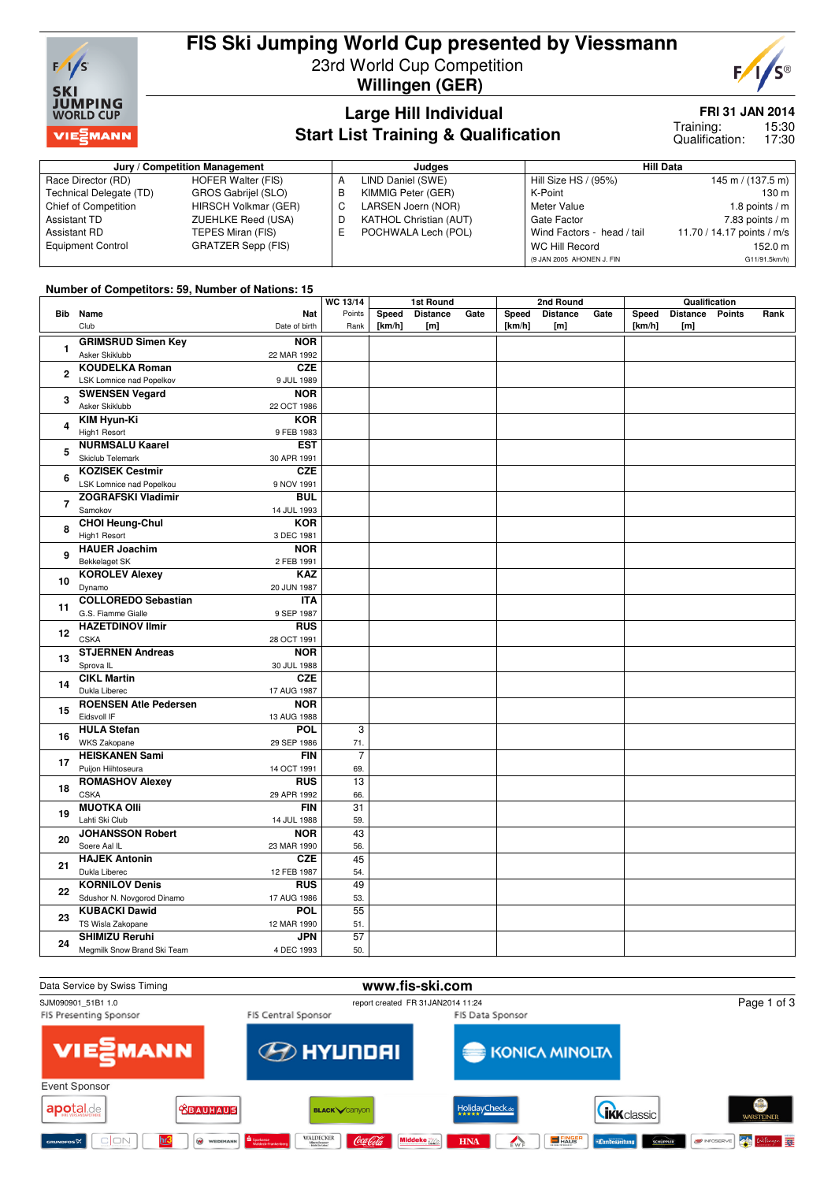

## **FIS Ski Jumping World Cup presented by Viessmann** 23rd World Cup Competition

**Willingen (GER)**

# $F/1/$ **S®**

### **Large Hill Individual Start List Training & Qualification**

### **FRI 31 JAN 2014**

15:30 17:30 Training: Qualification:

| Jury / Competition Management |                           |   | Judges                        |         | <b>Hill Data</b>           |                                     |  |  |  |
|-------------------------------|---------------------------|---|-------------------------------|---------|----------------------------|-------------------------------------|--|--|--|
| Race Director (RD)            | HOFER Walter (FIS)        | А | LIND Daniel (SWE)             |         | Hill Size HS / (95%)       | $145 \text{ m} / (137.5 \text{ m})$ |  |  |  |
| Technical Delegate (TD)       | GROS Gabrijel (SLO)       | В | KIMMIG Peter (GER)            | K-Point |                            | 130 m                               |  |  |  |
| Chief of Competition          | HIRSCH Volkmar (GER)      |   | LARSEN Joern (NOR)            |         | Meter Value                | 1.8 points $/m$                     |  |  |  |
| Assistant TD                  | ZUEHLKE Reed (USA)        | D | <b>KATHOL Christian (AUT)</b> |         | Gate Factor                | $7.83$ points / m                   |  |  |  |
| Assistant RD                  | TEPES Miran (FIS)         |   | POCHWALA Lech (POL)           |         | Wind Factors - head / tail | 11.70 / 14.17 points / m/s          |  |  |  |
| <b>Equipment Control</b>      | <b>GRATZER Sepp (FIS)</b> |   |                               |         | WC Hill Record             | 152.0 m                             |  |  |  |
|                               |                           |   |                               |         | (9 JAN 2005 AHONEN J. FIN  | G11/91.5km/h)                       |  |  |  |

#### **Number of Competitors: 59, Number of Nations: 15**

|                |                                                                         | WC 13/14              | <b>1st Round</b> |                        |      | 2nd Round       |                        |      | Qualification   |                               |  |      |
|----------------|-------------------------------------------------------------------------|-----------------------|------------------|------------------------|------|-----------------|------------------------|------|-----------------|-------------------------------|--|------|
| <b>Bib</b>     | Name<br>Nat<br>Club<br>Date of birth                                    | Points<br>Rank        | Speed<br>[km/h]  | <b>Distance</b><br>[m] | Gate | Speed<br>[km/h] | <b>Distance</b><br>[m] | Gate | Speed<br>[km/h] | <b>Distance Points</b><br>[m] |  | Rank |
|                | <b>GRIMSRUD Simen Key</b><br><b>NOR</b>                                 |                       |                  |                        |      |                 |                        |      |                 |                               |  |      |
| 1              | Asker Skiklubb<br>22 MAR 1992                                           |                       |                  |                        |      |                 |                        |      |                 |                               |  |      |
|                | <b>KOUDELKA Roman</b><br><b>CZE</b>                                     |                       |                  |                        |      |                 |                        |      |                 |                               |  |      |
| $\overline{2}$ | LSK Lomnice nad Popelkov<br>9 JUL 1989                                  |                       |                  |                        |      |                 |                        |      |                 |                               |  |      |
|                | <b>SWENSEN Vegard</b><br><b>NOR</b>                                     |                       |                  |                        |      |                 |                        |      |                 |                               |  |      |
| 3              | Asker Skiklubb<br>22 OCT 1986                                           |                       |                  |                        |      |                 |                        |      |                 |                               |  |      |
|                | <b>KIM Hyun-Ki</b><br><b>KOR</b>                                        |                       |                  |                        |      |                 |                        |      |                 |                               |  |      |
| 4              | High1 Resort<br>9 FEB 1983                                              |                       |                  |                        |      |                 |                        |      |                 |                               |  |      |
|                | <b>NURMSALU Kaarel</b><br><b>EST</b>                                    |                       |                  |                        |      |                 |                        |      |                 |                               |  |      |
| 5              | Skiclub Telemark<br>30 APR 1991                                         |                       |                  |                        |      |                 |                        |      |                 |                               |  |      |
|                | <b>KOZISEK Cestmir</b><br><b>CZE</b>                                    |                       |                  |                        |      |                 |                        |      |                 |                               |  |      |
| 6              | LSK Lomnice nad Popelkou<br>9 NOV 1991                                  |                       |                  |                        |      |                 |                        |      |                 |                               |  |      |
|                | <b>ZOGRAFSKI Vladimir</b><br><b>BUL</b>                                 |                       |                  |                        |      |                 |                        |      |                 |                               |  |      |
| $\overline{7}$ | Samokov<br>14 JUL 1993                                                  |                       |                  |                        |      |                 |                        |      |                 |                               |  |      |
|                | <b>CHOI Heung-Chul</b><br><b>KOR</b>                                    |                       |                  |                        |      |                 |                        |      |                 |                               |  |      |
| 8              | High1 Resort<br>3 DEC 1981                                              |                       |                  |                        |      |                 |                        |      |                 |                               |  |      |
|                | <b>HAUER Joachim</b><br><b>NOR</b>                                      |                       |                  |                        |      |                 |                        |      |                 |                               |  |      |
| 9              | <b>Bekkelaget SK</b><br>2 FEB 1991                                      |                       |                  |                        |      |                 |                        |      |                 |                               |  |      |
|                | <b>KOROLEV Alexey</b><br><b>KAZ</b>                                     |                       |                  |                        |      |                 |                        |      |                 |                               |  |      |
| 10             | Dynamo<br>20 JUN 1987                                                   |                       |                  |                        |      |                 |                        |      |                 |                               |  |      |
|                | <b>COLLOREDO Sebastian</b><br><b>ITA</b>                                |                       |                  |                        |      |                 |                        |      |                 |                               |  |      |
| 11             | G.S. Fiamme Gialle                                                      |                       |                  |                        |      |                 |                        |      |                 |                               |  |      |
|                | 9 SEP 1987<br><b>HAZETDINOV Ilmir</b><br><b>RUS</b>                     |                       |                  |                        |      |                 |                        |      |                 |                               |  |      |
| 12             | <b>CSKA</b>                                                             |                       |                  |                        |      |                 |                        |      |                 |                               |  |      |
|                | 28 OCT 1991<br><b>STJERNEN Andreas</b><br><b>NOR</b>                    |                       |                  |                        |      |                 |                        |      |                 |                               |  |      |
| 13             |                                                                         |                       |                  |                        |      |                 |                        |      |                 |                               |  |      |
|                | Sprova <sub>IL</sub><br>30 JUL 1988<br><b>CIKL Martin</b><br><b>CZE</b> |                       |                  |                        |      |                 |                        |      |                 |                               |  |      |
| 14             |                                                                         |                       |                  |                        |      |                 |                        |      |                 |                               |  |      |
|                | Dukla Liberec<br>17 AUG 1987                                            |                       |                  |                        |      |                 |                        |      |                 |                               |  |      |
| 15             | <b>ROENSEN Atle Pedersen</b><br><b>NOR</b><br>Eidsvoll IF               |                       |                  |                        |      |                 |                        |      |                 |                               |  |      |
|                | 13 AUG 1988                                                             |                       |                  |                        |      |                 |                        |      |                 |                               |  |      |
| 16             | <b>HULA Stefan</b><br><b>POL</b><br>WKS Zakopane                        | $\overline{3}$        |                  |                        |      |                 |                        |      |                 |                               |  |      |
|                | 29 SEP 1986                                                             | 71.                   |                  |                        |      |                 |                        |      |                 |                               |  |      |
| 17             | <b>HEISKANEN Sami</b><br><b>FIN</b><br>Puijon Hiihtoseura               | $\overline{7}$<br>69. |                  |                        |      |                 |                        |      |                 |                               |  |      |
|                | 14 OCT 1991                                                             |                       |                  |                        |      |                 |                        |      |                 |                               |  |      |
| 18             | <b>ROMASHOV Alexey</b><br><b>RUS</b>                                    | 13                    |                  |                        |      |                 |                        |      |                 |                               |  |      |
|                | <b>CSKA</b><br>29 APR 1992                                              | 66.                   |                  |                        |      |                 |                        |      |                 |                               |  |      |
| 19             | <b>MUOTKA Olli</b><br><b>FIN</b>                                        | $\overline{31}$       |                  |                        |      |                 |                        |      |                 |                               |  |      |
|                | Lahti Ski Club<br>14 JUL 1988                                           | 59.                   |                  |                        |      |                 |                        |      |                 |                               |  |      |
| 20             | <b>JOHANSSON Robert</b><br><b>NOR</b><br>Soere Aal IL                   | 43                    |                  |                        |      |                 |                        |      |                 |                               |  |      |
|                | 23 MAR 1990                                                             | 56.                   |                  |                        |      |                 |                        |      |                 |                               |  |      |
| 21             | <b>HAJEK Antonin</b><br><b>CZE</b>                                      | $\overline{45}$       |                  |                        |      |                 |                        |      |                 |                               |  |      |
|                | Dukla Liberec<br>12 FEB 1987                                            | 54.                   |                  |                        |      |                 |                        |      |                 |                               |  |      |
| 22             | <b>KORNILOV Denis</b><br><b>RUS</b>                                     | 49                    |                  |                        |      |                 |                        |      |                 |                               |  |      |
|                | Sdushor N. Novgorod Dinamo<br>17 AUG 1986                               | 53.                   |                  |                        |      |                 |                        |      |                 |                               |  |      |
| 23             | <b>KUBACKI Dawid</b><br><b>POL</b>                                      | 55                    |                  |                        |      |                 |                        |      |                 |                               |  |      |
|                | TS Wisla Zakopane<br>12 MAR 1990                                        | 51.                   |                  |                        |      |                 |                        |      |                 |                               |  |      |
| 24             | <b>SHIMIZU Reruhi</b><br><b>JPN</b>                                     | 57                    |                  |                        |      |                 |                        |      |                 |                               |  |      |
|                | Megmilk Snow Brand Ski Team<br>4 DEC 1993                               | 50.                   |                  |                        |      |                 |                        |      |                 |                               |  |      |

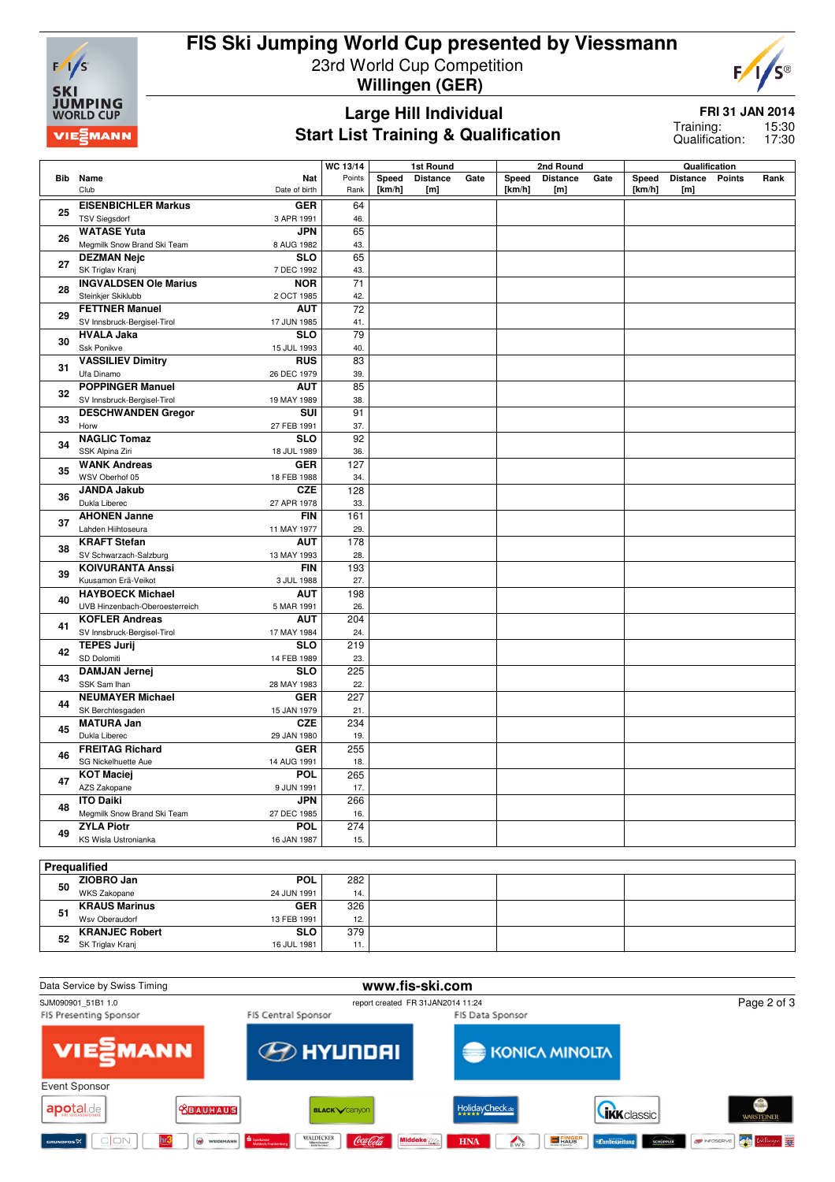

### **FIS Ski Jumping World Cup presented by Viessmann** 23rd World Cup Competition **Willingen (GER)**



### **Large Hill Individual Start List Training & Qualification**

**FRI 31 JAN 2014**

15:30 17:30 Training: Qualification:

|          |                                |                         | WC 13/14        | 1st Round |                 |      |        | 2nd Round       |      | Qualification |                 |               |      |  |
|----------|--------------------------------|-------------------------|-----------------|-----------|-----------------|------|--------|-----------------|------|---------------|-----------------|---------------|------|--|
|          | Bib Name                       | Nat                     | Points          | Speed     | <b>Distance</b> | Gate | Speed  | <b>Distance</b> | Gate | Speed         | <b>Distance</b> | <b>Points</b> | Rank |  |
|          | Club                           | Date of birth           | Rank            | [km/h]    | [m]             |      | [km/h] | [m]             |      | [km/h]        | [m]             |               |      |  |
|          | <b>EISENBICHLER Markus</b>     | <b>GER</b>              | 64              |           |                 |      |        |                 |      |               |                 |               |      |  |
| 25       | <b>TSV Siegsdorf</b>           | 3 APR 1991              | 46.             |           |                 |      |        |                 |      |               |                 |               |      |  |
|          | <b>WATASE Yuta</b>             | <b>JPN</b>              | 65              |           |                 |      |        |                 |      |               |                 |               |      |  |
| 26       | Megmilk Snow Brand Ski Team    | 8 AUG 1982              | 43.             |           |                 |      |        |                 |      |               |                 |               |      |  |
|          | <b>DEZMAN Nejc</b>             | <b>SLO</b>              | 65              |           |                 |      |        |                 |      |               |                 |               |      |  |
| 27       | SK Triglav Kranj               | 7 DEC 1992              | 43.             |           |                 |      |        |                 |      |               |                 |               |      |  |
|          | <b>INGVALDSEN Ole Marius</b>   | <b>NOR</b>              | $\overline{71}$ |           |                 |      |        |                 |      |               |                 |               |      |  |
| 28       | Steinkjer Skiklubb             |                         |                 |           |                 |      |        |                 |      |               |                 |               |      |  |
|          |                                | 2 OCT 1985              | 42.             |           |                 |      |        |                 |      |               |                 |               |      |  |
| 29       | <b>FETTNER Manuel</b>          | <b>AUT</b>              | 72              |           |                 |      |        |                 |      |               |                 |               |      |  |
|          | SV Innsbruck-Bergisel-Tirol    | 17 JUN 1985             | 41.             |           |                 |      |        |                 |      |               |                 |               |      |  |
| 30       | <b>HVALA Jaka</b>              | <b>SLO</b>              | 79              |           |                 |      |        |                 |      |               |                 |               |      |  |
|          | Ssk Ponikve                    | 15 JUL 1993             | 40.             |           |                 |      |        |                 |      |               |                 |               |      |  |
| 31       | <b>VASSILIEV Dimitry</b>       | <b>RUS</b>              | 83              |           |                 |      |        |                 |      |               |                 |               |      |  |
|          | Ufa Dinamo                     | 26 DEC 1979             | 39.             |           |                 |      |        |                 |      |               |                 |               |      |  |
| 32       | <b>POPPINGER Manuel</b>        | <b>AUT</b>              | 85              |           |                 |      |        |                 |      |               |                 |               |      |  |
|          | SV Innsbruck-Bergisel-Tirol    | 19 MAY 1989             | 38.             |           |                 |      |        |                 |      |               |                 |               |      |  |
| 33       | <b>DESCHWANDEN Gregor</b>      | $\overline{\text{SUI}}$ | 91              |           |                 |      |        |                 |      |               |                 |               |      |  |
|          | Horw                           | 27 FEB 1991             | 37.             |           |                 |      |        |                 |      |               |                 |               |      |  |
| 34       | <b>NAGLIC Tomaz</b>            | <b>SLO</b>              | 92              |           |                 |      |        |                 |      |               |                 |               |      |  |
|          | SSK Alpina Ziri                | 18 JUL 1989             | 36.             |           |                 |      |        |                 |      |               |                 |               |      |  |
| 35       | <b>WANK Andreas</b>            | <b>GER</b>              | 127             |           |                 |      |        |                 |      |               |                 |               |      |  |
| 36<br>37 | WSV Oberhof 05                 | 18 FEB 1988             | 34.             |           |                 |      |        |                 |      |               |                 |               |      |  |
|          | <b>JANDA Jakub</b>             | <b>CZE</b>              | 128             |           |                 |      |        |                 |      |               |                 |               |      |  |
|          | Dukla Liberec                  | 27 APR 1978             | 33.             |           |                 |      |        |                 |      |               |                 |               |      |  |
|          | <b>AHONEN Janne</b>            | <b>FIN</b>              | 161             |           |                 |      |        |                 |      |               |                 |               |      |  |
|          | Lahden Hiihtoseura             | 11 MAY 1977             | 29.             |           |                 |      |        |                 |      |               |                 |               |      |  |
| 38       | <b>KRAFT Stefan</b>            | <b>AUT</b>              | 178             |           |                 |      |        |                 |      |               |                 |               |      |  |
|          | SV Schwarzach-Salzburg         | 13 MAY 1993             | 28.             |           |                 |      |        |                 |      |               |                 |               |      |  |
| 39       | <b>KOIVURANTA Anssi</b>        | <b>FIN</b>              | 193             |           |                 |      |        |                 |      |               |                 |               |      |  |
|          | Kuusamon Erä-Veikot            | 3 JUL 1988              | 27.             |           |                 |      |        |                 |      |               |                 |               |      |  |
| 40       | <b>HAYBOECK Michael</b>        | <b>AUT</b>              | 198             |           |                 |      |        |                 |      |               |                 |               |      |  |
|          | UVB Hinzenbach-Oberoesterreich | 5 MAR 1991              | 26.             |           |                 |      |        |                 |      |               |                 |               |      |  |
| 41       | <b>KOFLER Andreas</b>          | <b>AUT</b>              | 204             |           |                 |      |        |                 |      |               |                 |               |      |  |
|          | SV Innsbruck-Bergisel-Tirol    | 17 MAY 1984             | 24.             |           |                 |      |        |                 |      |               |                 |               |      |  |
| 42       | <b>TEPES Jurij</b>             | <b>SLO</b>              | 219             |           |                 |      |        |                 |      |               |                 |               |      |  |
|          | SD Dolomiti                    | 14 FEB 1989             | 23.             |           |                 |      |        |                 |      |               |                 |               |      |  |
| 43       | <b>DAMJAN Jernej</b>           | <b>SLO</b>              | 225             |           |                 |      |        |                 |      |               |                 |               |      |  |
|          | SSK Sam Ihan                   | 28 MAY 1983             | 22.             |           |                 |      |        |                 |      |               |                 |               |      |  |
| 44       | <b>NEUMAYER Michael</b>        | <b>GER</b>              | 227             |           |                 |      |        |                 |      |               |                 |               |      |  |
|          | SK Berchtesgaden               | 15 JAN 1979             | 21.             |           |                 |      |        |                 |      |               |                 |               |      |  |
| 45       | <b>MATURA Jan</b>              | <b>CZE</b>              | 234             |           |                 |      |        |                 |      |               |                 |               |      |  |
|          | Dukla Liberec                  | 29 JAN 1980             | 19.             |           |                 |      |        |                 |      |               |                 |               |      |  |
| 46       | <b>FREITAG Richard</b>         | <b>GER</b>              | 255             |           |                 |      |        |                 |      |               |                 |               |      |  |
|          | SG Nickelhuette Aue            | 14 AUG 1991             | 18.             |           |                 |      |        |                 |      |               |                 |               |      |  |
| 47       | <b>KOT Maciej</b>              | <b>POL</b>              | 265             |           |                 |      |        |                 |      |               |                 |               |      |  |
|          | AZS Zakopane                   | 9 JUN 1991              | 17.             |           |                 |      |        |                 |      |               |                 |               |      |  |
| 48       | <b>ITO Daiki</b>               | <b>JPN</b>              | 266             |           |                 |      |        |                 |      |               |                 |               |      |  |
|          | Megmilk Snow Brand Ski Team    | 27 DEC 1985             | 16.             |           |                 |      |        |                 |      |               |                 |               |      |  |
| 49       | <b>ZYLA Piotr</b>              | <b>POL</b>              | 274             |           |                 |      |        |                 |      |               |                 |               |      |  |
|          | <b>KS Wisla Ustronianka</b>    | 16 JAN 1987             | 15.             |           |                 |      |        |                 |      |               |                 |               |      |  |
|          |                                |                         |                 |           |                 |      |        |                 |      |               |                 |               |      |  |
|          | <b>Prequalified</b>            |                         |                 |           |                 |      |        |                 |      |               |                 |               |      |  |

|    | .                                    |     |  |  |
|----|--------------------------------------|-----|--|--|
| 50 | <b>POL</b><br>ZIOBRO Jan             | 282 |  |  |
|    | 24 JUN 1991<br><b>WKS Zakopane</b>   | 14. |  |  |
| 51 | <b>GER</b><br><b>KRAUS Marinus</b>   | 326 |  |  |
|    | 13 FEB 1991<br><b>Wsv Oberaudorf</b> | 12. |  |  |
| 52 | <b>SLO</b><br><b>KRANJEC Robert</b>  | 379 |  |  |
|    | SK Triglav Kranj<br>16 JUL 1981      |     |  |  |
|    |                                      |     |  |  |